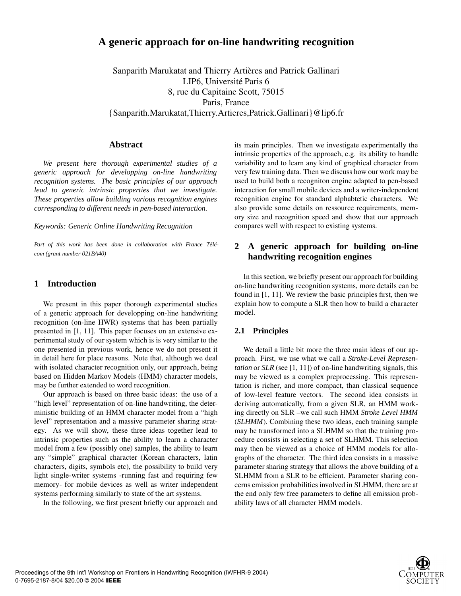# **A generic approach for on-line handwriting recognition**

Sanparith Marukatat and Thierry Artières and Patrick Gallinari LIP6, Université Paris 6 8, rue du Capitaine Scott, 75015 Paris, France {Sanparith.Marukatat,Thierry.Artieres,Patrick.Gallinari}@lip6.fr

## **Abstract**

*We present here thorough experimental studies of a generic approach for developping on-line handwriting recognition systems. The basic principles of our approach lead to generic intrinsic properties that we investigate. These properties allow building various recognition engines corresponding to different needs in pen-based interaction.*

*Keywords: Generic Online Handwriting Recognition*

*Part of this work has been done in collaboration with France Télécom (grant number 021BA40)*

## **1 Introduction**

We present in this paper thorough experimental studies of a generic approach for developping on-line handwriting recognition (on-line HWR) systems that has been partially presented in [1, 11]. This paper focuses on an extensive experimental study of our system which is is very similar to the one presented in previous work, hence we do not present it in detail here for place reasons. Note that, although we deal with isolated character recognition only, our approach, being based on Hidden Markov Models (HMM) character models, may be further extended to word recognition.

Our approach is based on three basic ideas: the use of a "high level" representation of on-line handwriting, the deterministic building of an HMM character model from a "high level" representation and a massive parameter sharing strategy. As we will show, these three ideas together lead to intrinsic properties such as the ability to learn a character model from a few (possibly one) samples, the ability to learn any "simple" graphical character (Korean characters, latin characters, digits, symbols etc), the possibility to build very light single-writer systems -running fast and requiring few memory- for mobile devices as well as writer independent systems performing similarly to state of the art systems.

In the following, we first present briefly our approach and

its main principles. Then we investigate experimentally the intrinsic properties of the approach, e.g. its ability to handle variability and to learn any kind of graphical character from very few training data. Then we discuss how our work may be used to build both a recogniton engine adapted to pen-based interaction for small mobile devices and a writer-independent recognition engine for standard alphabtetic characters. We also provide some details on ressource requirements, memory size and recognition speed and show that our approach compares well with respect to existing systems.

## **2 A generic approach for building on-line handwriting recognition engines**

In this section, we briefly present our approach for building on-line handwriting recognition systems, more details can be found in [1, 11]. We review the basic principles first, then we explain how to compute a SLR then how to build a character model.

## **2.1 Principles**

We detail a little bit more the three main ideas of our approach. First, we use what we call a *Stroke-Level Representation* or *SLR* (see [1, 11]) of on-line handwriting signals, this may be viewed as a complex preprocessing. This representation is richer, and more compact, than classical sequence of low-level feature vectors. The second idea consists in deriving automatically, from a given SLR, an HMM working directly on SLR –we call such HMM *Stroke Level HMM* (*SLHMM*). Combining these two ideas, each training sample may be transformed into a SLHMM so that the training procedure consists in selecting a set of SLHMM. This selection may then be viewed as a choice of HMM models for allographs of the character. The third idea consists in a massive parameter sharing strategy that allows the above building of a SLHMM from a SLR to be efficient. Parameter sharing concerns emission probabilities involved in SLHMM, there are at the end only few free parameters to define all emission probability laws of all character HMM models.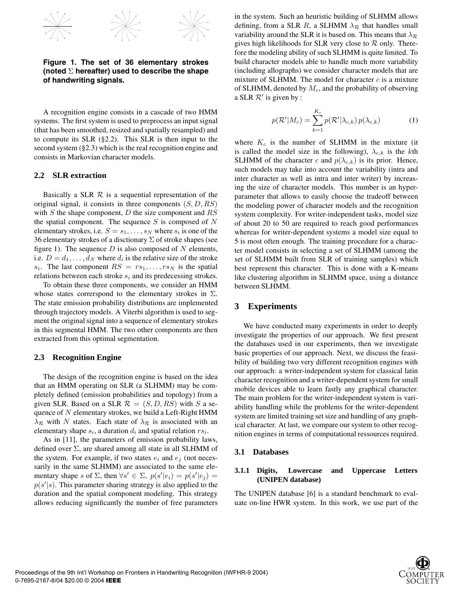

**Figure 1. The set of 36 elementary strokes (noted** Σ **hereafter) used to describe the shape of handwriting signals.**

A recognition engine consists in a cascade of two HMM systems. The first system is used to preprocess an input signal (that has been smoothed, resized and spatially resampled) and to compute its SLR (§2.2). This SLR is then input to the second system (§2.3) which is the real recognition engine and consists in Markovian character models.

### **2.2 SLR extraction**

Basically a SLR  $R$  is a sequential representation of the original signal, it consists in three components  $(S, D, RS)$ with  $S$  the shape component,  $D$  the size component and  $RS$ the spatial component. The sequence  $S$  is composed of  $N$ elementary strokes, i.e.  $S = s_1, \ldots, s_N$  where  $s_i$  is one of the 36 elementary strokes of a disctionary  $\Sigma$  of stroke shapes (see figure 1). The sequence  $D$  is also composed of  $N$  elements, i.e.  $D = d_1, \ldots, d_N$  where  $d_i$  is the relative size of the stroke  $s_i$ . The last component  $RS = rs_1, \ldots, rs_N$  is the spatial relations between each stroke s*<sup>i</sup>* and its predecessing strokes.

To obtain these three components, we consider an HMM whose states correrspond to the elementary strokes in  $\Sigma$ . The state emission probability distributions are implemented through trajectory models. A Viterbi algorithm is used to segment the original signal into a sequence of elementary strokes in this segmental HMM. The two other components are then extracted from this optimal segmentation.

#### **2.3 Recognition Engine**

The design of the recognition engine is based on the idea that an HMM operating on SLR (a SLHMM) may be completely defined (emission probabilities and topology) from a given SLR. Based on a SLR  $\mathcal{R} = (S, D, RS)$  with S a sequence of N elementary strokes, we build a Left-Right HMM  $\lambda_{\mathcal{R}}$  with N states. Each state of  $\lambda_{\mathcal{R}}$  is associated with an elementary shape  $s_i$ , a duration  $d_i$  and spatial relation  $rs_i$ .

As in [11], the parameters of emission probability laws, defined over  $\Sigma$ , are shared among all state in all SLHMM of the system. For example, if two states  $e_i$  and  $e_j$  (not necessarily in the same SLHMM) are associated to the same elementary shape s of  $\Sigma$ , then  $\forall s' \in \Sigma$ ,  $p(s'|e_i) = p(s'|e_j) =$  $p(s'|s)$ . This parameter sharing strategy is also applied to the duration and the spatial component modeling. This strategy allows reducing significantly the number of free parameters in the system. Such an heuristic building of SLHMM allows defining, from a SLR R, a SLHMM  $\lambda_{\mathcal{R}}$  that handles small variability around the SLR it is based on. This means that  $\lambda_{\mathcal{R}}$ gives high likelihoods for SLR very close to  $R$  only. Therefore the modeling ability of such SLHMM is quite limited. To build character models able to handle much more variability (including allographs) we consider character models that are mixture of SLHMM. The model for character  $c$  is a mixture of SLHMM, denoted by M*c*, and the probability of observing a SLR  $\mathcal{R}'$  is given by :

$$
p(\mathcal{R}'|M_c) = \sum_{k=1}^{K_c} p(\mathcal{R}'|\lambda_{c,k}) p(\lambda_{c,k})
$$
 (1)

where  $K_c$  is the number of SLHMM in the mixture (it is called the model size in the following),  $\lambda_{c,k}$  is the kth **SLHMM** of the character c and  $p(\lambda_{c,k})$  is its prior. Hence, such models may take into account the variability (intra and inter character as well as intra and inter writer) by increasing the size of character models. This number is an hyperparameter that allows to easily choose the tradeoff between the modeling power of character models and the recognition system complexity. For writer-independent tasks, model size of about 20 to 50 are required to reach good performances whereas for writer-dependent systems a model size equal to 5 is most often enough. The training procedure for a character model consists in selecting a set of SLHMM (among the set of SLHMM built from SLR of training samples) which best represent this character. This is done with a K-means like clustering algorithm in SLHMM space, using a distance between SLHMM.

## **3 Experiments**

We have conducted many experiments in order to deeply investigate the properties of our approach. We first present the databases used in our experiments, then we investigate basic properties of our approach. Next, we discuss the feasibility of building two very different recognition engines with our approach: a writer-independent system for classical latin character recognition and a writer-dependent system for small mobile devices able to learn fastly any graphical character. The main problem for the writer-independent system is variability handling while the problems for the writer-dependent system are limited training set size and handling of any graphical character. At last, we compare our system to other recognition engines in terms of computational ressources required.

#### **3.1 Databases**

## **3.1.1 Digits, Lowercase and Uppercase Letters (UNIPEN database)**

The UNIPEN database [6] is a standard benchmark to evaluate on-line HWR system. In this work, we use part of the

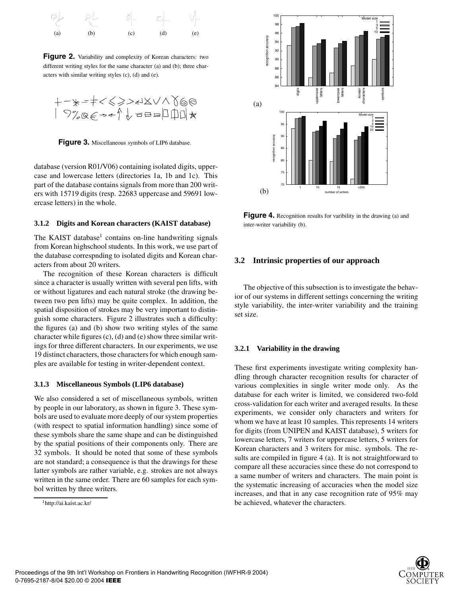

**Figure 2.** Variability and complexity of Korean characters: two different writing styles for the same character (a) and (b); three characters with similar writing styles (c), (d) and (e).



**Figure 3.** Miscellaneous symbols of LIP6 database.

database (version R01/V06) containing isolated digits, uppercase and lowercase letters (directories 1a, 1b and 1c). This part of the database contains signals from more than 200 writers with 15719 digits (resp. 22683 uppercase and 59691 lowercase letters) in the whole.

#### **3.1.2 Digits and Korean characters (KAIST database)**

The KAIST database<sup>1</sup> contains on-line handwriting signals from Korean highschool students. In this work, we use part of the database correspnding to isolated digits and Korean characters from about 20 writers.

The recognition of these Korean characters is difficult since a character is usually written with several pen lifts, with or without ligatures and each natural stroke (the drawing between two pen lifts) may be quite complex. In addition, the spatial disposition of strokes may be very important to distinguish some characters. Figure 2 illustrates such a difficulty: the figures (a) and (b) show two writing styles of the same character while figures (c), (d) and (e) show three similar writings for three different characters. In our experiments, we use 19 distinct characters, those characters for which enough samples are available for testing in writer-dependent context.

#### **3.1.3 Miscellaneous Symbols (LIP6 database)**

We also considered a set of miscellaneous symbols, written by people in our laboratory, as shown in figure 3. These symbols are used to evaluate more deeply of our system properties (with respect to spatial information handling) since some of these symbols share the same shape and can be distinguished by the spatial positions of their components only. There are 32 symbols. It should be noted that some of these symbols are not standard; a consequence is that the drawings for these latter symbols are rather variable, e.g. strokes are not always written in the same order. There are 60 samples for each symbol written by three writers.



**Figure 4.** Recognition results for varibility in the drawing (a) and inter-writer variability (b).

## **3.2 Intrinsic properties of our approach**

The objective of this subsection is to investigate the behavior of our systems in different settings concerning the writing style variability, the inter-writer variability and the training set size.

#### **3.2.1 Variability in the drawing**

These first experiments investigate writing complexity handling through character recognition results for character of various complexities in single writer mode only. As the database for each writer is limited, we considered two-fold cross-validation for each writer and averaged results. In these experiments, we consider only characters and writers for whom we have at least 10 samples. This represents 14 writers for digits (from UNIPEN and KAIST database), 5 writers for lowercase letters, 7 writers for uppercase letters, 5 writers for Korean characters and 3 writers for misc. symbols. The results are compiled in figure 4 (a). It is not straightforward to compare all these accuracies since these do not correspond to a same number of writers and characters. The main point is the systematic increasing of accuracies when the model size increases, and that in any case recognition rate of 95% may be achieved, whatever the characters.

<sup>1</sup>http://ai.kaist.ac.kr/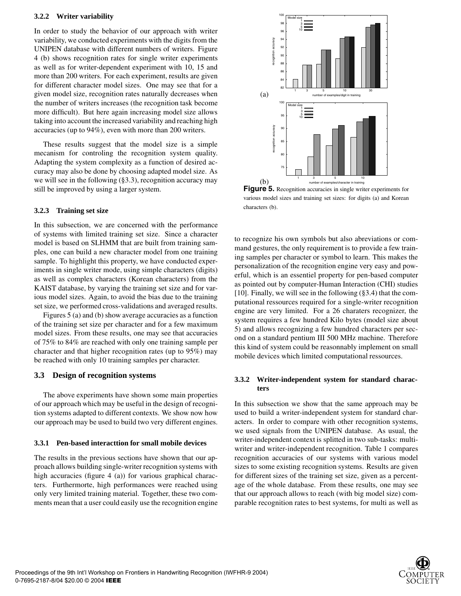## **3.2.2 Writer variability**

In order to study the behavior of our approach with writer variability, we conducted experiments with the digits from the UNIPEN database with different numbers of writers. Figure 4 (b) shows recognition rates for single writer experiments as well as for writer-dependent experiment with 10, 15 and more than 200 writers. For each experiment, results are given for different character model sizes. One may see that for a given model size, recognition rates naturally decreases when the number of writers increases (the recognition task become more difficult). But here again increasing model size allows taking into account the increased variability and reaching high accuracies (up to 94%), even with more than 200 writers.

These results suggest that the model size is a simple mecanism for controling the recognition system quality. Adapting the system complexity as a function of desired accuracy may also be done by choosing adapted model size. As we will see in the following (§3.3), recognition accuracy may still be improved by using a larger system.

### **3.2.3 Training set size**

In this subsection, we are concerned with the performance of systems with limited training set size. Since a character model is based on SLHMM that are built from training samples, one can build a new character model from one training sample. To highlight this property, we have conducted experiments in single writer mode, using simple characters (digits) as well as complex characters (Korean characters) from the KAIST database, by varying the training set size and for various model sizes. Again, to avoid the bias due to the training set size, we performed cross-validations and averaged results.

Figures 5 (a) and (b) show average accuracies as a function of the training set size per character and for a few maximum model sizes. From these results, one may see that accuracies of 75% to 84% are reached with only one training sample per character and that higher recognition rates (up to 95%) may be reached with only 10 training samples per character.

### **3.3 Design of recognition systems**

The above experiments have shown some main properties of our approach which may be useful in the design of recognition systems adapted to different contexts. We show now how our approach may be used to build two very different engines.

### **3.3.1 Pen-based interacttion for small mobile devices**

The results in the previous sections have shown that our approach allows building single-writer recognition systems with high accuracies (figure 4 (a)) for various graphical characters. Furthermorte, high performances were reached using only very limited training material. Together, these two comments mean that a user could easily use the recognition engine



**Figure 5.** Recognition accuracies in single writer experiments for various model sizes and training set sizes: for digits (a) and Korean characters (b).

to recognize his own symbols but also abreviations or command gestures, the only requirement is to provide a few training samples per character or symbol to learn. This makes the personalization of the recognition engine very easy and powerful, which is an essentiel property for pen-based computer as pointed out by computer-Human Interaction (CHI) studies [10]. Finally, we will see in the following (§3.4) that the computational ressources required for a single-writer recognition engine are very limited. For a 26 charaters recognizer, the system requires a few hundred Kilo bytes (model size about 5) and allows recognizing a few hundred characters per second on a standard pentium III 500 MHz machine. Therefore this kind of system could be reasonnably implement on small mobile devices which limited computational ressources.

## **3.3.2 Writer-independent system for standard characters**

In this subsection we show that the same approach may be used to build a writer-independent system for standard characters. In order to compare with other recognition systems, we used signals from the UNIPEN database. As usual, the writer-independent context is splitted in two sub-tasks: multiwriter and writer-independent recognition. Table 1 compares recognition accuracies of our systems with various model sizes to some existing recognition systems. Results are given for different sizes of the training set size, given as a percentage of the whole database. From these results, one may see that our approach allows to reach (with big model size) comparable recognition rates to best systems, for multi as well as

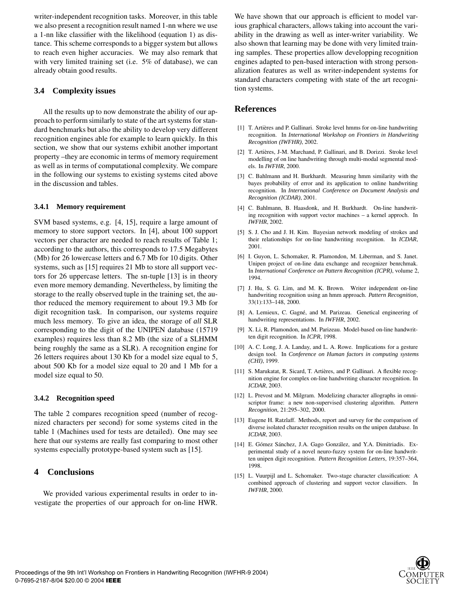writer-independent recognition tasks. Moreover, in this table we also present a recognition result named 1-nn where we use a 1-nn like classifier with the likelihood (equation 1) as distance. This scheme corresponds to a bigger system but allows to reach even higher accuracies. We may also remark that with very limited training set (i.e. 5% of database), we can already obtain good results.

## **3.4 Complexity issues**

All the results up to now demonstrate the ability of our approach to perform similarly to state of the art systems for standard benchmarks but also the ability to develop very different recognition engines able for example to learn quickly. In this section, we show that our systems exhibit another important property –they are economic in terms of memory requirement as well as in terms of computational complexity. We compare in the following our systems to existing systems cited above in the discussion and tables.

### **3.4.1 Memory requirement**

SVM based systems, e.g. [4, 15], require a large amount of memory to store support vectors. In [4], about 100 support vectors per character are needed to reach results of Table 1; according to the authors, this corresponds to 17.5 Megabytes (Mb) for 26 lowercase letters and 6.7 Mb for 10 digits. Other systems, such as [15] requires 21 Mb to store all support vectors for 26 uppercase letters. The sn-tuple [13] is in theory even more memory demanding. Nevertheless, by limiting the storage to the really observed tuple in the training set, the author reduced the memory requirement to about 19.3 Mb for digit recognition task. In comparison, our systems require much less memory. To give an idea, the storage of *all* SLR corresponding to the digit of the UNIPEN database (15719 examples) requires less than 8.2 Mb (the size of a SLHMM being roughly the same as a SLR). A recognition engine for 26 letters requires about 130 Kb for a model size equal to 5, about 500 Kb for a model size equal to 20 and 1 Mb for a model size equal to 50.

### **3.4.2 Recognition speed**

The table 2 compares recognition speed (number of recognized characters per second) for some systems cited in the table 1 (Machines used for tests are detailed). One may see here that our systems are really fast comparing to most other systems especially prototype-based system such as [15].

## **4 Conclusions**

We provided various experimental results in order to investigate the properties of our approach for on-line HWR. We have shown that our approach is efficient to model various graphical characters, allows taking into account the variability in the drawing as well as inter-writer variability. We also shown that learning may be done with very limited training samples. These properties allow developping recognition engines adapted to pen-based interaction with strong personalization features as well as writer-independent systems for standard characters competing with state of the art recognition systems.

## **References**

- [1] T. Artières and P. Gallinari. Stroke level hmms for on-line handwriting recognition. In *International Workshop on Frontiers in Handwriting Recognition (IWFHR)*, 2002.
- [2] T. Artières, J-M. Marchand, P. Gallinari, and B. Dorizzi. Stroke level modelling of on line handwriting through multi-modal segmental models. In *IWFHR*, 2000.
- [3] C. Bahlmann and H. Burkhardt. Measuring hmm similarity with the bayes probability of error and its application to online handwriting recognition. In *International Conference on Document Analysis and Recognition (ICDAR)*, 2001.
- [4] C. Bahlmann, B. Haasdonk, and H. Burkhardt. On-line handwriting recognition with support vector machines – a kernel approch. In *IWFHR*, 2002.
- [5] S. J. Cho and J. H. Kim. Bayesian network modeling of strokes and their relationships for on-line handwriting recognition. In *ICDAR*, 2001.
- [6] I. Guyon, L. Schomaker, R. Plamondon, M. Liberman, and S. Janet. Unipen project of on-line data exchange and recognizer benrchmak. In *International Conference on Pattern Recognition (ICPR)*, volume 2, 1994.
- [7] J. Hu, S. G. Lim, and M. K. Brown. Writer independent on-line handwriting recognition using an hmm approach. *Pattern Recognition*, 33(1):133–148, 2000.
- [8] A. Lemieux, C. Gagné, and M. Parizeau. Genetical engineering of handwriting representations. In *IWFHR*, 2002.
- [9] X. Li, R. Plamondon, and M. Parizeau. Model-based on-line handwritten digit recognition. In *ICPR*, 1998.
- [10] A. C. Long, J. A. Landay, and L. A. Rowe. Implications for a gesture design tool. In *Conference on Human factors in computing systems (CHI)*, 1999.
- [11] S. Marukatat, R. Sicard, T. Artières, and P. Gallinari. A flexible recognition engine for complex on-line handwriting character recognition. In *ICDAR*, 2003.
- [12] L. Prevost and M. Milgram. Modelizing character allographs in omniscriptor frame: a new non-supervised clustering algorithm. *Pattern Recognition*, 21:295–302, 2000.
- [13] Eugene H. Ratzlaff. Methods, report and survey for the comparison of diverse isolated character recognition results on the unipen database. In *ICDAR*, 2003.
- [14] E. Gómez Sánchez, J.A. Gago González, and Y.A. Dimitriadis. Experimental study of a novel neuro-fuzzy system for on-line handwritten unipen digit recognition. *Pattern Recognition Letters*, 19:357–364, 1998.
- [15] L. Vuurpijl and L. Schomaker. Two-stage character classification: A combined approach of clustering and support vector classifiers. In *IWFHR*, 2000.